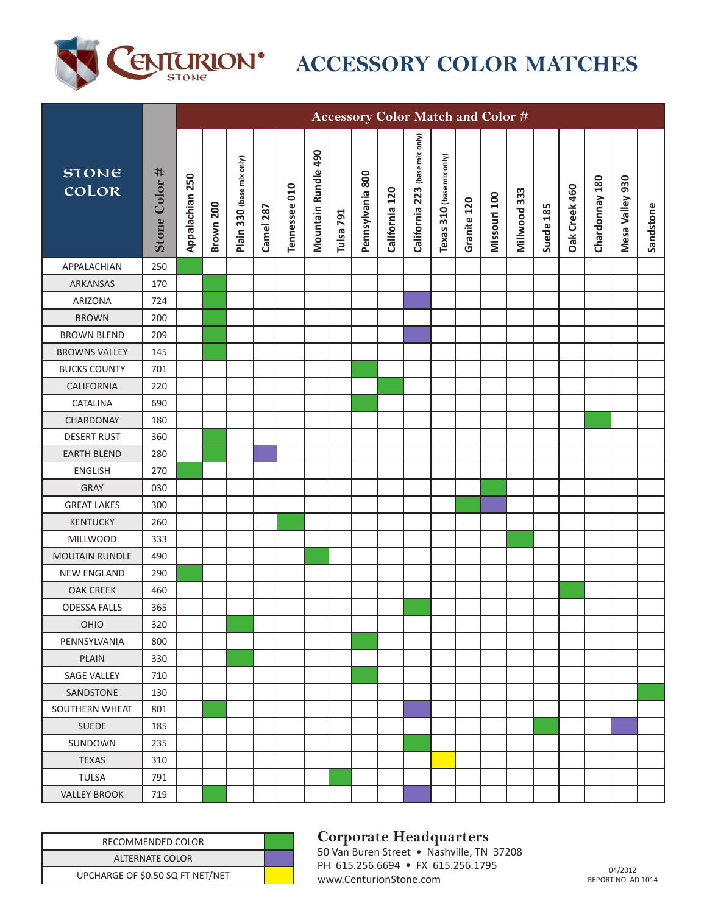

## **ACCESSORY COLOR MATCHES**

|                       |               |                 |           |                           |           |               |                     |           |                  |                | Accessory Color Match and Color # |                           |             |              |              |           |               |                |                 |           |
|-----------------------|---------------|-----------------|-----------|---------------------------|-----------|---------------|---------------------|-----------|------------------|----------------|-----------------------------------|---------------------------|-------------|--------------|--------------|-----------|---------------|----------------|-----------------|-----------|
| <b>STONE</b><br>color | Stone Color # | Appalachian 250 | Brown 200 | Plain 330 (base mix only) | Camel 287 | Tennessee 010 | Mountain Rundle 490 | Tulsa 791 | Pennsylvania 800 | California 120 | (base mix only)<br>California 223 | Texas 310 (base mix only) | Granite 120 | Missouri 100 | Millwood 333 | Suede 185 | Oak Creek 460 | Chardonnay 180 | Mesa Valley 930 | Sandstone |
| APPALACHIAN           | 250           |                 |           |                           |           |               |                     |           |                  |                |                                   |                           |             |              |              |           |               |                |                 |           |
| ARKANSAS              | 170           |                 |           |                           |           |               |                     |           |                  |                |                                   |                           |             |              |              |           |               |                |                 |           |
| ARIZONA               | 724           |                 |           |                           |           |               |                     |           |                  |                |                                   |                           |             |              |              |           |               |                |                 |           |
| <b>BROWN</b>          | 200           |                 |           |                           |           |               |                     |           |                  |                |                                   |                           |             |              |              |           |               |                |                 |           |
| <b>BROWN BLEND</b>    | 209           |                 |           |                           |           |               |                     |           |                  |                |                                   |                           |             |              |              |           |               |                |                 |           |
| <b>BROWNS VALLEY</b>  | 145           |                 |           |                           |           |               |                     |           |                  |                |                                   |                           |             |              |              |           |               |                |                 |           |
| <b>BUCKS COUNTY</b>   | 701           |                 |           |                           |           |               |                     |           |                  |                |                                   |                           |             |              |              |           |               |                |                 |           |
| <b>CALIFORNIA</b>     | 220           |                 |           |                           |           |               |                     |           |                  |                |                                   |                           |             |              |              |           |               |                |                 |           |
| CATALINA              | 690           |                 |           |                           |           |               |                     |           |                  |                |                                   |                           |             |              |              |           |               |                |                 |           |
| CHARDONAY             | 180           |                 |           |                           |           |               |                     |           |                  |                |                                   |                           |             |              |              |           |               |                |                 |           |
| <b>DESERT RUST</b>    | 360           |                 |           |                           |           |               |                     |           |                  |                |                                   |                           |             |              |              |           |               |                |                 |           |
| <b>EARTH BLEND</b>    | 280           |                 |           |                           |           |               |                     |           |                  |                |                                   |                           |             |              |              |           |               |                |                 |           |
| <b>ENGLISH</b>        | 270           |                 |           |                           |           |               |                     |           |                  |                |                                   |                           |             |              |              |           |               |                |                 |           |
| <b>GRAY</b>           | 030           |                 |           |                           |           |               |                     |           |                  |                |                                   |                           |             |              |              |           |               |                |                 |           |
| <b>GREAT LAKES</b>    | 300           |                 |           |                           |           |               |                     |           |                  |                |                                   |                           |             |              |              |           |               |                |                 |           |
| <b>KENTUCKY</b>       | 260           |                 |           |                           |           |               |                     |           |                  |                |                                   |                           |             |              |              |           |               |                |                 |           |
| <b>MILLWOOD</b>       | 333           |                 |           |                           |           |               |                     |           |                  |                |                                   |                           |             |              |              |           |               |                |                 |           |
| <b>MOUTAIN RUNDLE</b> | 490           |                 |           |                           |           |               |                     |           |                  |                |                                   |                           |             |              |              |           |               |                |                 |           |
| <b>NEW ENGLAND</b>    | 290           |                 |           |                           |           |               |                     |           |                  |                |                                   |                           |             |              |              |           |               |                |                 |           |
| <b>OAK CREEK</b>      | 460           |                 |           |                           |           |               |                     |           |                  |                |                                   |                           |             |              |              |           |               |                |                 |           |
| <b>ODESSA FALLS</b>   | 365           |                 |           |                           |           |               |                     |           |                  |                |                                   |                           |             |              |              |           |               |                |                 |           |
| OHIO                  | 320           |                 |           |                           |           |               |                     |           |                  |                |                                   |                           |             |              |              |           |               |                |                 |           |
| PENNSYLVANIA          | 800           |                 |           |                           |           |               |                     |           |                  |                |                                   |                           |             |              |              |           |               |                |                 |           |
| <b>PLAIN</b>          | 330           |                 |           |                           |           |               |                     |           |                  |                |                                   |                           |             |              |              |           |               |                |                 |           |
| SAGE VALLEY           | 710           |                 |           |                           |           |               |                     |           |                  |                |                                   |                           |             |              |              |           |               |                |                 |           |
| SANDSTONE             | 130           |                 |           |                           |           |               |                     |           |                  |                |                                   |                           |             |              |              |           |               |                |                 |           |
| SOUTHERN WHEAT        | 801           |                 |           |                           |           |               |                     |           |                  |                |                                   |                           |             |              |              |           |               |                |                 |           |
| <b>SUEDE</b>          | 185           |                 |           |                           |           |               |                     |           |                  |                |                                   |                           |             |              |              |           |               |                |                 |           |
| SUNDOWN               | 235           |                 |           |                           |           |               |                     |           |                  |                |                                   |                           |             |              |              |           |               |                |                 |           |
| <b>TEXAS</b>          | 310           |                 |           |                           |           |               |                     |           |                  |                |                                   |                           |             |              |              |           |               |                |                 |           |
| <b>TULSA</b>          | 791           |                 |           |                           |           |               |                     |           |                  |                |                                   |                           |             |              |              |           |               |                |                 |           |
| <b>VALLEY BROOK</b>   | 719           |                 |           |                           |           |               |                     |           |                  |                |                                   |                           |             |              |              |           |               |                |                 |           |

| RECOMMENDED COLOR                |  | <b>Corporate Headquarters</b>                                                  |                                 |
|----------------------------------|--|--------------------------------------------------------------------------------|---------------------------------|
| ALTERNATE COLOR                  |  | 50 Van Buren Street • Nashville, TN 37208<br>PH 615.256.6694 • FX 615.256.1795 |                                 |
| UPCHARGE OF \$0.50 SQ FT NET/NET |  | www.CenturionStone.com                                                         | 04/2012<br><b>REPORT NO. AI</b> |

## **Corporate Headquarters**